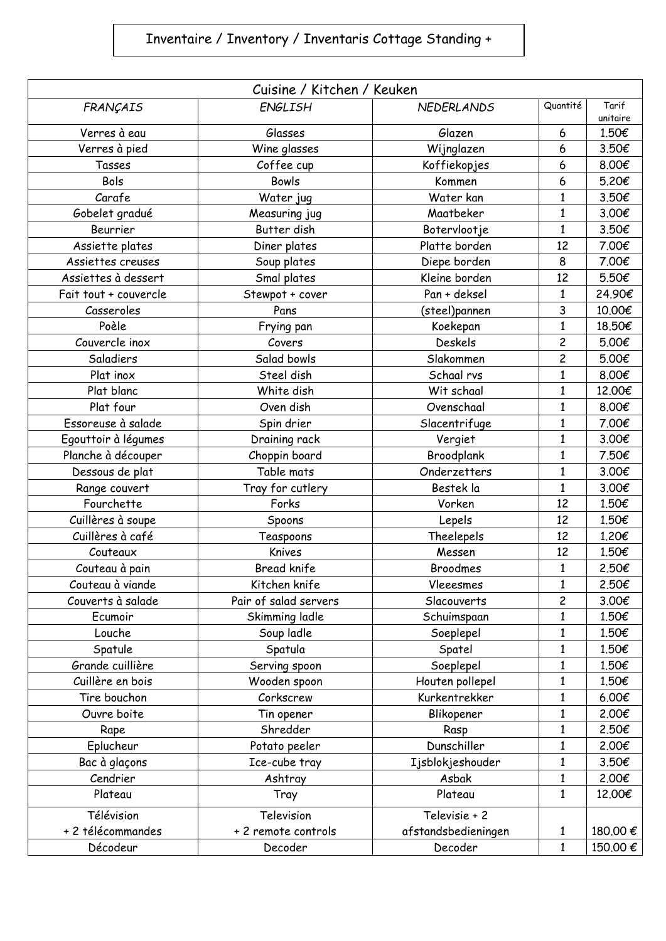## Inventaire / Inventory / Inventaris Cottage Standing +

| Cuisine / Kitchen / Keuken |                       |                     |                         |                   |  |  |  |
|----------------------------|-----------------------|---------------------|-------------------------|-------------------|--|--|--|
| FRANÇAIS                   | ENGLISH               | <b>NEDERLANDS</b>   | Quantité                | Tarif<br>unitaire |  |  |  |
| Verres à eau               | Glasses               | Glazen              | 6                       | 1.50€             |  |  |  |
| Verres à pied              | Wine glasses          | Wijnglazen          | 6                       | 3.50€             |  |  |  |
| Tasses                     | Coffee cup            | Koffiekopjes        | 6                       | 8.00€             |  |  |  |
| Bols                       | <b>Bowls</b>          | Kommen              | 6                       | 5.20€             |  |  |  |
| Carafe                     | Water jug             | Water kan           | 1                       | 3.50€             |  |  |  |
| Gobelet gradué             | Measuring jug         | Maatbeker           | 1                       | 3.00€             |  |  |  |
| Beurrier                   | Butter dish           | Botervlootje        | 1                       | 3.50€             |  |  |  |
| Assiette plates            | Diner plates          | Platte borden       | 12                      | 7.00€             |  |  |  |
| Assiettes creuses          | Soup plates           | Diepe borden        | 8                       | 7.00€             |  |  |  |
| Assiettes à dessert        | Smal plates           | Kleine borden       | 12                      | 5.50€             |  |  |  |
| Fait tout + couvercle      | Stewpot + cover       | Pan + deksel        | 1                       | 24.90€            |  |  |  |
| Casseroles                 | Pans                  | (steel)pannen       | 3                       | 10.00€            |  |  |  |
| Poèle                      | Frying pan            | Koekepan            | 1                       | 18.50€            |  |  |  |
| Couvercle inox             | Covers                | <b>Deskels</b>      | $\overline{c}$          | 5.00€             |  |  |  |
| Saladiers                  | Salad bowls           | Slakommen           | $\overline{\mathbf{c}}$ | 5.00€             |  |  |  |
| Plat inox                  | Steel dish            | Schaal rvs          | $\mathbf{1}$            | 8.00€             |  |  |  |
| Plat blanc                 | White dish            | Wit schaal          | $\mathbf{1}$            | 12.00€            |  |  |  |
| Plat four                  | Oven dish             | Ovenschaal          | 1                       | 8.00€             |  |  |  |
| Essoreuse à salade         | Spin drier            | Slacentrifuge       | 1                       | 7.00€             |  |  |  |
| Egouttoir à légumes        | Draining rack         | Vergiet             | 1                       | 3.00€             |  |  |  |
| Planche à découper         | Choppin board         | Broodplank          | 1                       | 7.50€             |  |  |  |
| Dessous de plat            | Table mats            | Onderzetters        | $\mathbf{1}$            | 3.00€             |  |  |  |
| Range couvert              | Tray for cutlery      | Bestek la           | 1                       | 3.00€             |  |  |  |
| Fourchette                 | Forks                 | Vorken              | 12                      | 1.50€             |  |  |  |
| Cuillères à soupe          | Spoons                | Lepels              | 12                      | 1.50€             |  |  |  |
| Cuillères à café           | Teaspoons             | Theelepels          | 12                      | 1.20€             |  |  |  |
| Couteaux                   | Knives                | Messen              | 12                      | 1.50€             |  |  |  |
| Couteau à pain             | <b>Bread knife</b>    | <b>Broodmes</b>     | 1                       | 2.50€             |  |  |  |
| Couteau à viande           | Kitchen knife         | Vleeesmes           | $\mathbf{1}$            | 2.50€             |  |  |  |
| Couverts à salade          | Pair of salad servers | Slacouverts         | $\overline{c}$          | 3.00€             |  |  |  |
| Ecumoir                    | Skimming ladle        | Schuimspaan         | 1                       | 1.50€             |  |  |  |
| Louche                     | Soup ladle            | Soeplepel           | $\mathbf{1}$            | 1.50€             |  |  |  |
| Spatule                    | Spatula               | Spatel              | 1                       | 1.50€             |  |  |  |
| Grande cuillière           | Serving spoon         | Soeplepel           | 1                       | 1.50€             |  |  |  |
| Cuillère en bois           | Wooden spoon          | Houten pollepel     | 1                       | 1.50€             |  |  |  |
| Tire bouchon               | Corkscrew             | Kurkentrekker       | $\mathbf 1$             | 6.00€             |  |  |  |
| Ouvre boite                | Tin opener            | Blikopener          | $\mathbf{1}$            | 2.00€             |  |  |  |
| Rape                       | Shredder              | Rasp                | 1                       | 2.50€             |  |  |  |
| Eplucheur                  | Potato peeler         | Dunschiller         | 1                       | 2.00€             |  |  |  |
| Bac à glaçons              | Ice-cube tray         | Ijsblokjeshouder    | 1                       | 3.50€             |  |  |  |
| Cendrier                   | Ashtray               | Asbak               | $\mathbf 1$             | 2.00€             |  |  |  |
| Plateau                    | Tray                  | Plateau             | 1                       | 12.00€            |  |  |  |
| Télévision                 | Television            | Televisie + 2       |                         |                   |  |  |  |
| + 2 télécommandes          | + 2 remote controls   | afstandsbedieningen | 1                       | 180.00 €          |  |  |  |
| Décodeur                   | Decoder               | Decoder             | $\mathbf{1}$            | 150.00€           |  |  |  |